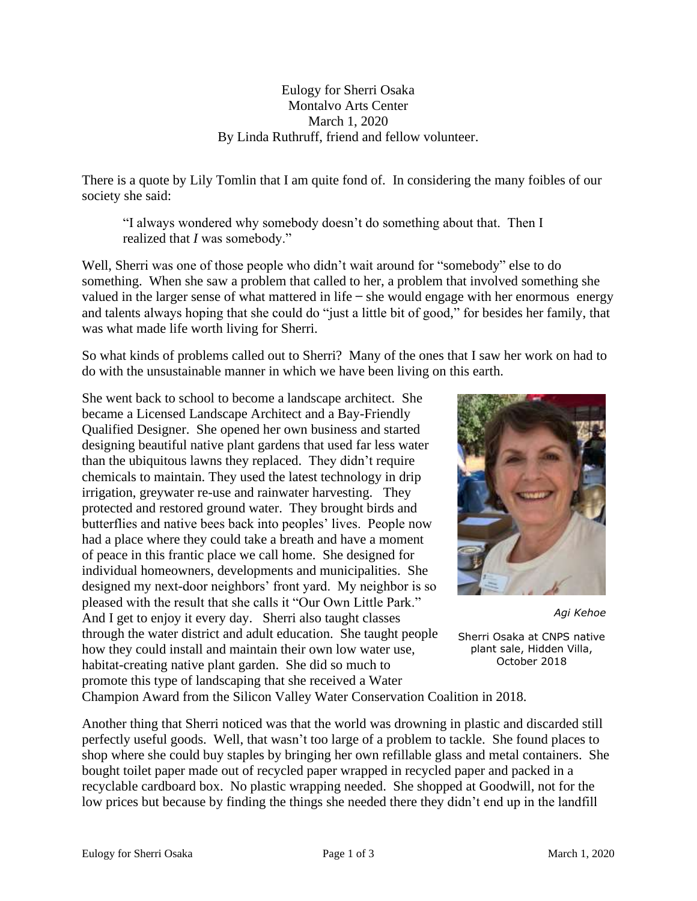## Eulogy for Sherri Osaka Montalvo Arts Center March 1, 2020 By Linda Ruthruff, friend and fellow volunteer.

There is a quote by Lily Tomlin that I am quite fond of. In considering the many foibles of our society she said:

"I always wondered why somebody doesn't do something about that. Then I realized that *I* was somebody."

Well, Sherri was one of those people who didn't wait around for "somebody" else to do something. When she saw a problem that called to her, a problem that involved something she valued in the larger sense of what mattered in life  $-$  she would engage with her enormous energy and talents always hoping that she could do "just a little bit of good," for besides her family, that was what made life worth living for Sherri.

So what kinds of problems called out to Sherri? Many of the ones that I saw her work on had to do with the unsustainable manner in which we have been living on this earth.

She went back to school to become a landscape architect. She became a Licensed Landscape Architect and a Bay-Friendly Qualified Designer. She opened her own business and started designing beautiful native plant gardens that used far less water than the ubiquitous lawns they replaced. They didn't require chemicals to maintain. They used the latest technology in drip irrigation, greywater re-use and rainwater harvesting. They protected and restored ground water. They brought birds and butterflies and native bees back into peoples' lives. People now had a place where they could take a breath and have a moment of peace in this frantic place we call home. She designed for individual homeowners, developments and municipalities. She designed my next-door neighbors' front yard. My neighbor is so pleased with the result that she calls it "Our Own Little Park." And I get to enjoy it every day. Sherri also taught classes through the water district and adult education. She taught people how they could install and maintain their own low water use, habitat-creating native plant garden. She did so much to promote this type of landscaping that she received a Water



*Agi Kehoe*

Sherri Osaka at CNPS native plant sale, Hidden Villa, October 2018

Champion Award from the Silicon Valley Water Conservation Coalition in 2018.

Another thing that Sherri noticed was that the world was drowning in plastic and discarded still perfectly useful goods. Well, that wasn't too large of a problem to tackle. She found places to shop where she could buy staples by bringing her own refillable glass and metal containers. She bought toilet paper made out of recycled paper wrapped in recycled paper and packed in a recyclable cardboard box. No plastic wrapping needed. She shopped at Goodwill, not for the low prices but because by finding the things she needed there they didn't end up in the landfill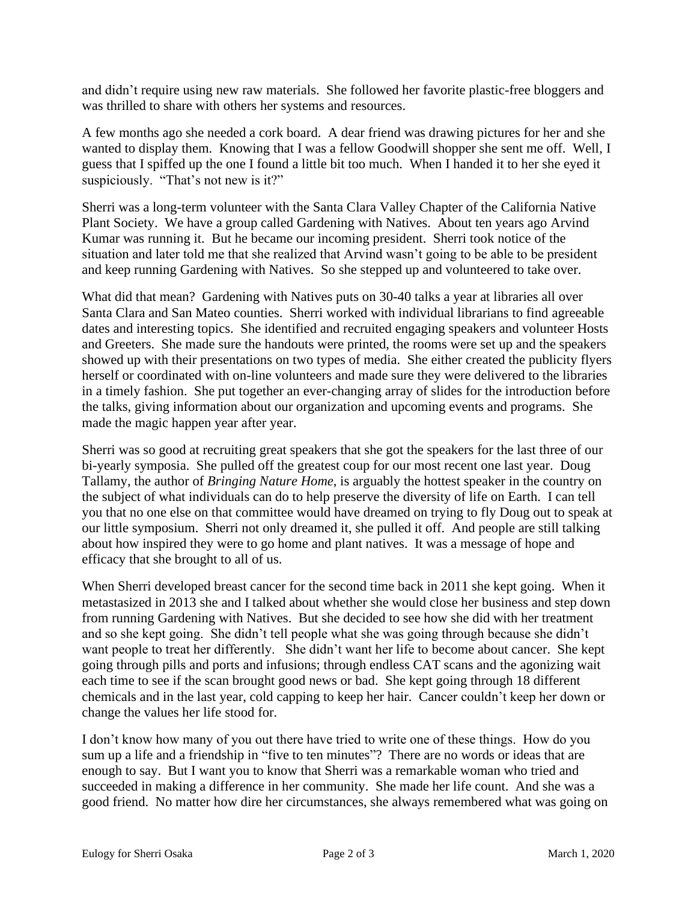and didn't require using new raw materials. She followed her favorite plastic-free bloggers and was thrilled to share with others her systems and resources.

A few months ago she needed a cork board. A dear friend was drawing pictures for her and she wanted to display them. Knowing that I was a fellow Goodwill shopper she sent me off. Well, I guess that I spiffed up the one I found a little bit too much. When I handed it to her she eyed it suspiciously. "That's not new is it?"

Sherri was a long-term volunteer with the Santa Clara Valley Chapter of the California Native Plant Society. We have a group called Gardening with Natives. About ten years ago Arvind Kumar was running it. But he became our incoming president. Sherri took notice of the situation and later told me that she realized that Arvind wasn't going to be able to be president and keep running Gardening with Natives. So she stepped up and volunteered to take over.

What did that mean? Gardening with Natives puts on 30-40 talks a year at libraries all over Santa Clara and San Mateo counties. Sherri worked with individual librarians to find agreeable dates and interesting topics. She identified and recruited engaging speakers and volunteer Hosts and Greeters. She made sure the handouts were printed, the rooms were set up and the speakers showed up with their presentations on two types of media. She either created the publicity flyers herself or coordinated with on-line volunteers and made sure they were delivered to the libraries in a timely fashion. She put together an ever-changing array of slides for the introduction before the talks, giving information about our organization and upcoming events and programs. She made the magic happen year after year.

Sherri was so good at recruiting great speakers that she got the speakers for the last three of our bi-yearly symposia. She pulled off the greatest coup for our most recent one last year. Doug Tallamy, the author of *Bringing Nature Home*, is arguably the hottest speaker in the country on the subject of what individuals can do to help preserve the diversity of life on Earth. I can tell you that no one else on that committee would have dreamed on trying to fly Doug out to speak at our little symposium. Sherri not only dreamed it, she pulled it off. And people are still talking about how inspired they were to go home and plant natives. It was a message of hope and efficacy that she brought to all of us.

When Sherri developed breast cancer for the second time back in 2011 she kept going. When it metastasized in 2013 she and I talked about whether she would close her business and step down from running Gardening with Natives. But she decided to see how she did with her treatment and so she kept going. She didn't tell people what she was going through because she didn't want people to treat her differently. She didn't want her life to become about cancer. She kept going through pills and ports and infusions; through endless CAT scans and the agonizing wait each time to see if the scan brought good news or bad. She kept going through 18 different chemicals and in the last year, cold capping to keep her hair. Cancer couldn't keep her down or change the values her life stood for.

I don't know how many of you out there have tried to write one of these things. How do you sum up a life and a friendship in "five to ten minutes"? There are no words or ideas that are enough to say. But I want you to know that Sherri was a remarkable woman who tried and succeeded in making a difference in her community. She made her life count. And she was a good friend. No matter how dire her circumstances, she always remembered what was going on